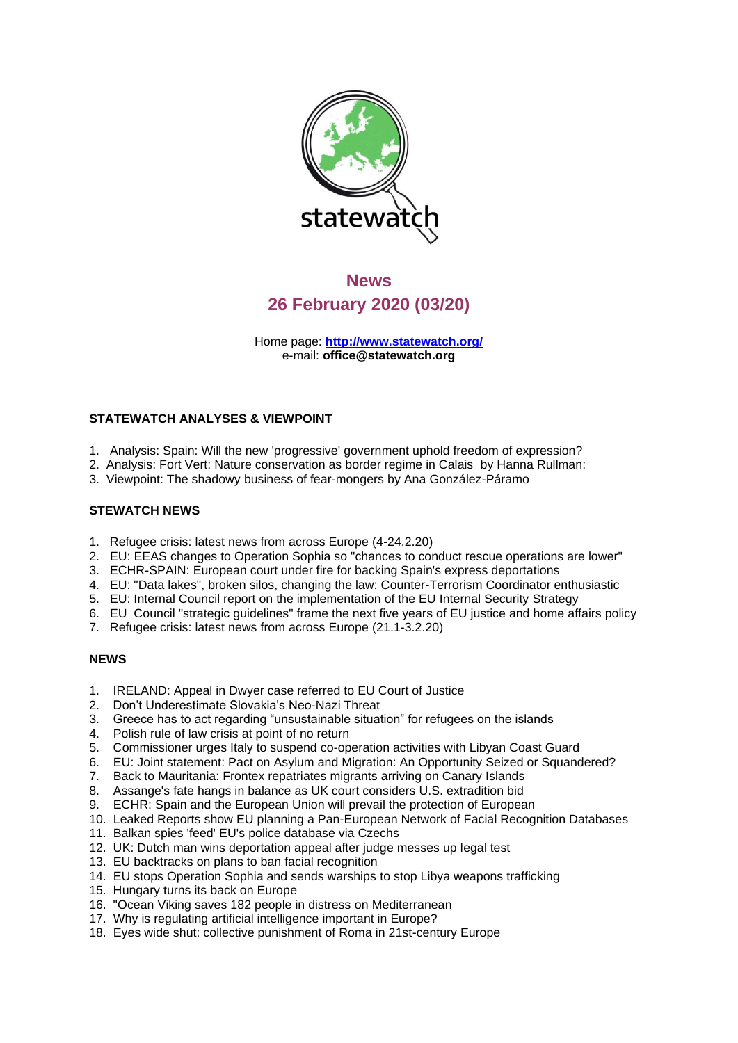

# **News 26 February 2020 (03/20)**

Home page: **<http://www.statewatch.org/>** e-mail: **[office@statewatch.org](mailto:office@statewatch.org)**

# **STATEWATCH ANALYSES & VIEWPOINT**

- 1. Analysis: Spain: Will the new 'progressive' government uphold freedom of expression?
- 2. Analysis: Fort Vert: Nature conservation as border regime in Calais by Hanna Rullman:
- 3. Viewpoint: The shadowy business of fear-mongers by Ana González-Páramo

## **STEWATCH NEWS**

- 1. Refugee crisis: latest news from across Europe (4-24.2.20)
- 2. EU: EEAS changes to Operation Sophia so "chances to conduct rescue operations are lower"
- 3. ECHR-SPAIN: European court under fire for backing Spain's express deportations
- 4. EU: "Data lakes", broken silos, changing the law: Counter-Terrorism Coordinator enthusiastic
- 5. EU: Internal Council report on the implementation of the EU Internal Security Strategy
- 6. EU Council "strategic guidelines" frame the next five years of EU justice and home affairs policy
- 7. Refugee crisis: latest news from across Europe (21.1-3.2.20)

## **NEWS**

- 1. IRELAND: Appeal in Dwyer case referred to EU Court of Justice
- 2. Don't Underestimate Slovakia's Neo-Nazi Threat
- 3. Greece has to act regarding "unsustainable situation" for refugees on the islands
- 4. Polish rule of law crisis at point of no return
- 5. Commissioner urges Italy to suspend co-operation activities with Libyan Coast Guard
- 6. EU: Joint statement: Pact on Asylum and Migration: An Opportunity Seized or Squandered?
- 7. Back to Mauritania: Frontex repatriates migrants arriving on Canary Islands
- 8. Assange's fate hangs in balance as UK court considers U.S. extradition bid
- 9. ECHR: Spain and the European Union will prevail the protection of European
- 10. Leaked Reports show EU planning a Pan-European Network of Facial Recognition Databases
- 11. Balkan spies 'feed' EU's police database via Czechs
- 12. UK: Dutch man wins deportation appeal after judge messes up legal test
- 13. EU backtracks on plans to ban facial recognition
- 14. EU stops Operation Sophia and sends warships to stop Libya weapons trafficking
- 15. Hungary turns its back on Europe
- 16. "Ocean Viking saves 182 people in distress on Mediterranean
- 17. Why is regulating artificial intelligence important in Europe?
- 18. Eyes wide shut: collective punishment of Roma in 21st-century Europe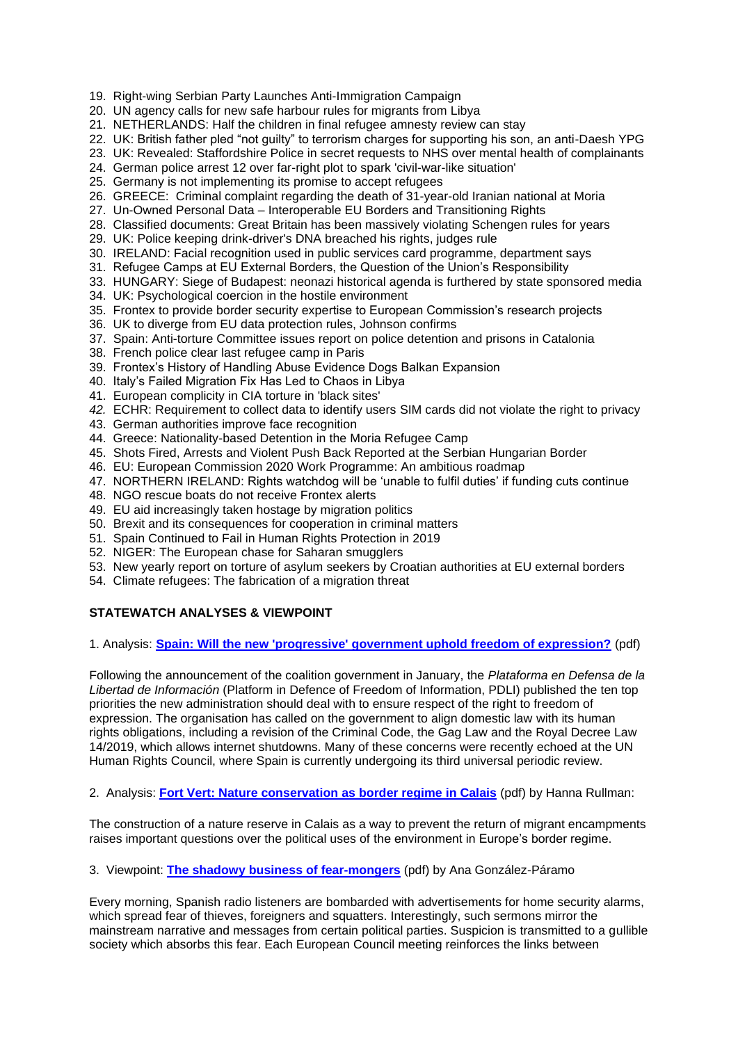- 19. Right-wing Serbian Party Launches Anti-Immigration Campaign
- 20. UN agency calls for new safe harbour rules for migrants from Libya
- 21. NETHERLANDS: Half the children in final refugee amnesty review can stay
- 22. UK: British father pled "not guilty" to terrorism charges for supporting his son, an anti-Daesh YPG
- 23. UK: Revealed: Staffordshire Police in secret requests to NHS over mental health of complainants
- 24. German police arrest 12 over far-right plot to spark 'civil-war-like situation'
- 25. Germany is not implementing its promise to accept refugees
- 26. GREECE: Criminal complaint regarding the death of 31-year-old Iranian national at Moria
- 27. Un-Owned Personal Data Interoperable EU Borders and Transitioning Rights
- 28. Classified documents: Great Britain has been massively violating Schengen rules for years
- 29. UK: Police keeping drink-driver's DNA breached his rights, judges rule
- 30. IRELAND: Facial recognition used in public services card programme, department says
- 31. Refugee Camps at EU External Borders, the Question of the Union's Responsibility
- 33. HUNGARY: Siege of Budapest: neonazi historical agenda is furthered by state sponsored media
- 34. UK: Psychological coercion in the hostile environment
- 35. Frontex to provide border security expertise to European Commission's research projects
- 36. UK to diverge from EU data protection rules, Johnson confirms
- 37. Spain: Anti-torture Committee issues report on police detention and prisons in Catalonia
- 38. French police clear last refugee camp in Paris
- 39. Frontex's History of Handling Abuse Evidence Dogs Balkan Expansion
- 40. Italy's Failed Migration Fix Has Led to Chaos in Libya
- 41. European complicity in CIA torture in 'black sites'
- *42.* ECHR: Requirement to collect data to identify users SIM cards did not violate the right to privacy
- 43. German authorities improve face recognition
- 44. Greece: Nationality-based Detention in the Moria Refugee Camp
- 45. Shots Fired, Arrests and Violent Push Back Reported at the Serbian Hungarian Border
- 46. EU: European Commission 2020 Work Programme: An ambitious roadmap
- 47. NORTHERN IRELAND: Rights watchdog will be 'unable to fulfil duties' if funding cuts continue
- 48. NGO rescue boats do not receive Frontex alerts
- 49. EU aid increasingly taken hostage by migration politics
- 50. Brexit and its consequences for cooperation in criminal matters
- 51. Spain Continued to Fail in Human Rights Protection in 2019
- 52. NIGER: The European chase for Saharan smugglers
- 53. New yearly report on torture of asylum seekers by Croatian authorities at EU external borders
- 54. Climate refugees: The fabrication of a migration threat

## **STATEWATCH ANALYSES & VIEWPOINT**

1. Analysis: **[Spain: Will the new 'progressive' government uphold freedom of expression?](http://www.statewatch.org/analyses/no-352-spain-freedom-of-expression.pdf)** (pdf)

Following the announcement of the coalition government in January, the *Plataforma en Defensa de la Libertad de Información* (Platform in Defence of Freedom of Information, PDLI) published the ten top priorities the new administration should deal with to ensure respect of the right to freedom of expression. The organisation has called on the government to align domestic law with its human rights obligations, including a revision of the Criminal Code, the Gag Law and the Royal Decree Law 14/2019, which allows internet shutdowns. Many of these concerns were recently echoed at the UN Human Rights Council, where Spain is currently undergoing its third universal periodic review.

2. Analysis: **[Fort Vert: Nature conservation as border regime in Calais](http://www.statewatch.org/analyses/no-353-calais-hostile-environment.pdf)** (pdf) by Hanna Rullman:

The construction of a nature reserve in Calais as a way to prevent the return of migrant encampments raises important questions over the political uses of the environment in Europe's border regime.

3. Viewpoint: **[The shadowy business of fear-mongers](http://www.statewatch.org/analyses/no-351-business-fear-mongers.pdf)** (pdf) by Ana González-Páramo

Every morning, Spanish radio listeners are bombarded with advertisements for home security alarms, which spread fear of thieves, foreigners and squatters. Interestingly, such sermons mirror the mainstream narrative and messages from certain political parties. Suspicion is transmitted to a gullible society which absorbs this fear. Each European Council meeting reinforces the links between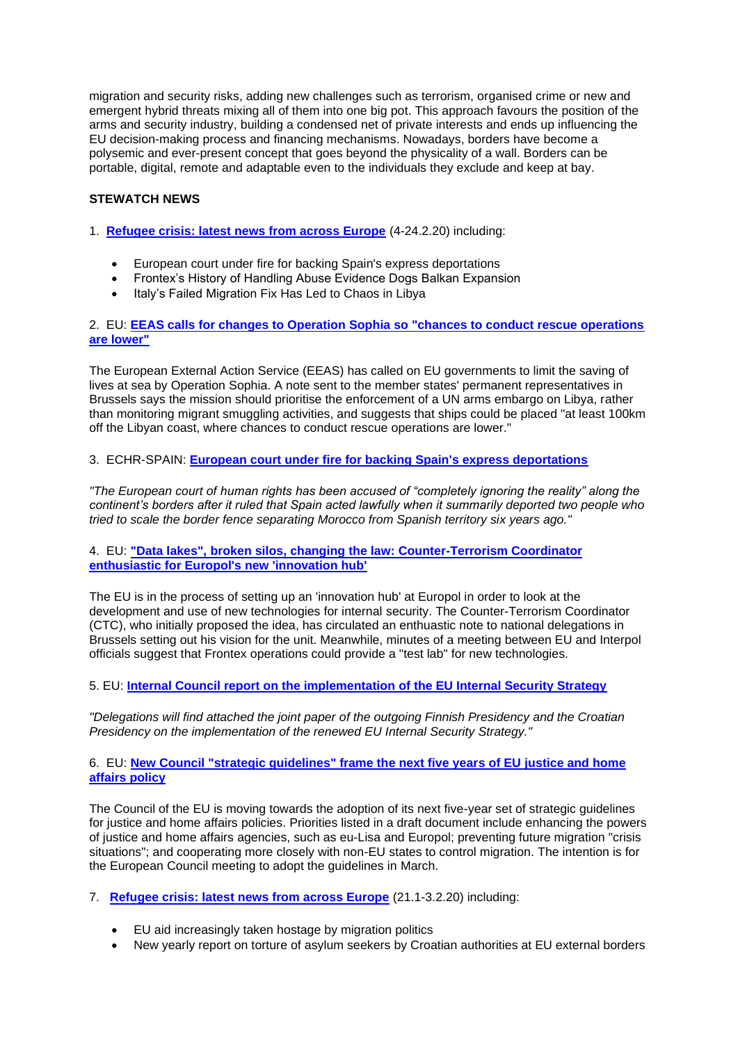migration and security risks, adding new challenges such as terrorism, organised crime or new and emergent hybrid threats mixing all of them into one big pot. This approach favours the position of the arms and security industry, building a condensed net of private interests and ends up influencing the EU decision-making process and financing mechanisms. Nowadays, borders have become a polysemic and ever-present concept that goes beyond the physicality of a wall. Borders can be portable, digital, remote and adaptable even to the individuals they exclude and keep at bay.

# **STEWATCH NEWS**

- 1. **[Refugee crisis: latest news from across Europe](http://www.statewatch.org/news/2020/feb/eu-med-crisis-4-24-2-20.htm)** (4-24.2.20) including:
	- European court under fire for backing Spain's express deportations
	- Frontex's History of Handling Abuse Evidence Dogs Balkan Expansion
	- Italy's Failed Migration Fix Has Led to Chaos in Libya

#### 2. EU: **[EEAS calls for changes to Operation Sophia so "chances to conduct rescue operations](http://www.statewatch.org/news/2020/feb/eeas-sophia-rescues.htm)  [are lower"](http://www.statewatch.org/news/2020/feb/eeas-sophia-rescues.htm)**

The European External Action Service (EEAS) has called on EU governments to limit the saving of lives at sea by Operation Sophia. A note sent to the member states' permanent representatives in Brussels says the mission should prioritise the enforcement of a UN arms embargo on Libya, rather than monitoring migrant smuggling activities, and suggests that ships could be placed "at least 100km off the Libyan coast, where chances to conduct rescue operations are lower."

## 3. ECHR-SPAIN: **[European court under fire for backing Spain's express deportations](http://www.statewatch.org/news/2020/feb/echr-spain-hot-returns.htm)**

*"The European court of human rights has been accused of "completely ignoring the reality" along the continent's borders after it ruled that Spain acted lawfully when it summarily deported two people who tried to scale the border fence separating Morocco from Spanish territory six years ago."*

#### 4. EU: **["Data lakes", broken silos, changing the law: Counter-Terrorism Coordinator](http://www.statewatch.org/news/2020/feb/eu-ctc-hub.htm)  [enthusiastic for Europol's new 'innovation hub'](http://www.statewatch.org/news/2020/feb/eu-ctc-hub.htm)**

The EU is in the process of setting up an 'innovation hub' at Europol in order to look at the development and use of new technologies for internal security. The Counter-Terrorism Coordinator (CTC), who initially proposed the idea, has circulated an enthuastic note to national delegations in Brussels setting out his vision for the unit. Meanwhile, minutes of a meeting between EU and Interpol officials suggest that Frontex operations could provide a "test lab" for new technologies.

# 5. EU: **[Internal Council report on the implementation of the EU Internal Security Strategy](http://www.statewatch.org/news/2020/feb/eu-iss-update.htm)**

*"Delegations will find attached the joint paper of the outgoing Finnish Presidency and the Croatian Presidency on the implementation of the renewed EU Internal Security Strategy."*

## 6. EU: **[New Council "strategic guidelines" frame the next five years of EU justice and home](http://www.statewatch.org/news/2020/feb/eu-council-jha-guidelines.htm)  [affairs policy](http://www.statewatch.org/news/2020/feb/eu-council-jha-guidelines.htm)**

The Council of the EU is moving towards the adoption of its next five-year set of strategic guidelines for justice and home affairs policies. Priorities listed in a draft document include enhancing the powers of justice and home affairs agencies, such as eu-Lisa and Europol; preventing future migration "crisis situations"; and cooperating more closely with non-EU states to control migration. The intention is for the European Council meeting to adopt the guidelines in March.

- 7. **[Refugee crisis: latest news from across Europe](http://www.statewatch.org/news/2020/feb/eu-med-crisis-21-1-3-2-20.htm)** (21.1-3.2.20) including:
	- EU aid increasingly taken hostage by migration politics
	- New yearly report on torture of asylum seekers by Croatian authorities at EU external borders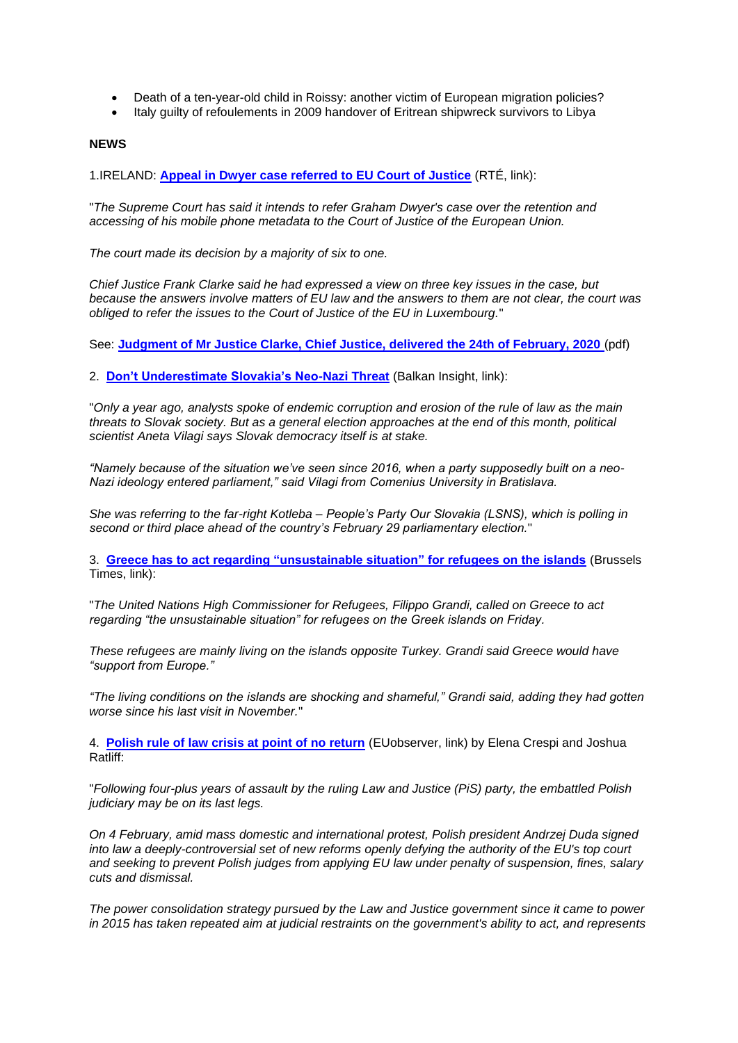- Death of a ten-year-old child in Roissy: another victim of European migration policies?
- Italy guilty of refoulements in 2009 handover of Eritrean shipwreck survivors to Libya

## **NEWS**

1.IRELAND: **[Appeal in Dwyer case referred to EU Court of Justice](https://www.rte.ie/news/courts/2020/0224/1117195-dwyer-supreme-court/)** (RTÉ, link):

"*The Supreme Court has said it intends to refer Graham Dwyer's case over the retention and accessing of his mobile phone metadata to the Court of Justice of the European Union.*

*The court made its decision by a majority of six to one.* 

*Chief Justice Frank Clarke said he had expressed a view on three key issues in the case, but because the answers involve matters of EU law and the answers to them are not clear, the court was obliged to refer the issues to the Court of Justice of the EU in Luxembourg.*"

See: **[Judgment of Mr Justice Clarke, Chief Justice, delivered the 24th of February, 2020](http://www.statewatch.org/news/2020/feb/ie-dwyer-v-commissioner-data-retention-24-2-20.pdf)** (pdf)

2. **[Don't Underestimate Slovakia's Neo-Nazi Threat](https://balkaninsight.com/2020/02/24/dont-underestimate-slovakias-neo-nazi-threat/)** (Balkan Insight, link):

"*Only a year ago, analysts spoke of endemic corruption and erosion of the rule of law as the main threats to Slovak society. But as a general election approaches at the end of this month, political scientist Aneta Vilagi says Slovak democracy itself is at stake.*

*"Namely because of the situation we've seen since 2016, when a party supposedly built on a neo-Nazi ideology entered parliament," said Vilagi from Comenius University in Bratislava.*

*She was referring to the far-right Kotleba – People's Party Our Slovakia (LSNS), which is polling in second or third place ahead of the country's February 29 parliamentary election.*"

3. **[Greece has to act regarding "unsustainable situation" for refugees on the islands](https://www.brusselstimes.com/all-news/eu-affairs/96486/greece-has-to-act-regarding-unsustainable-situation-for-refugees-on-the-islands/)** (Brussels Times, link):

"*The United Nations High Commissioner for Refugees, Filippo Grandi, called on Greece to act regarding "the unsustainable situation" for refugees on the Greek islands on Friday.* 

*These refugees are mainly living on the islands opposite Turkey. Grandi said Greece would have "support from Europe."* 

*"The living conditions on the islands are shocking and shameful," Grandi said, adding they had gotten worse since his last visit in November.*"

4. **[Polish rule of law crisis at point of no return](https://euobserver.com/opinion/147504)** (EUobserver, link) by Elena Crespi and Joshua Ratliff:

"*Following four-plus years of assault by the ruling Law and Justice (PiS) party, the embattled Polish judiciary may be on its last legs.*

*On 4 February, amid mass domestic and international protest, Polish president Andrzej Duda signed into law a deeply-controversial set of new reforms openly defying the authority of the EU's top court and seeking to prevent Polish judges from applying EU law under penalty of suspension, fines, salary cuts and dismissal.*

*The power consolidation strategy pursued by the Law and Justice government since it came to power in 2015 has taken repeated aim at judicial restraints on the government's ability to act, and represents*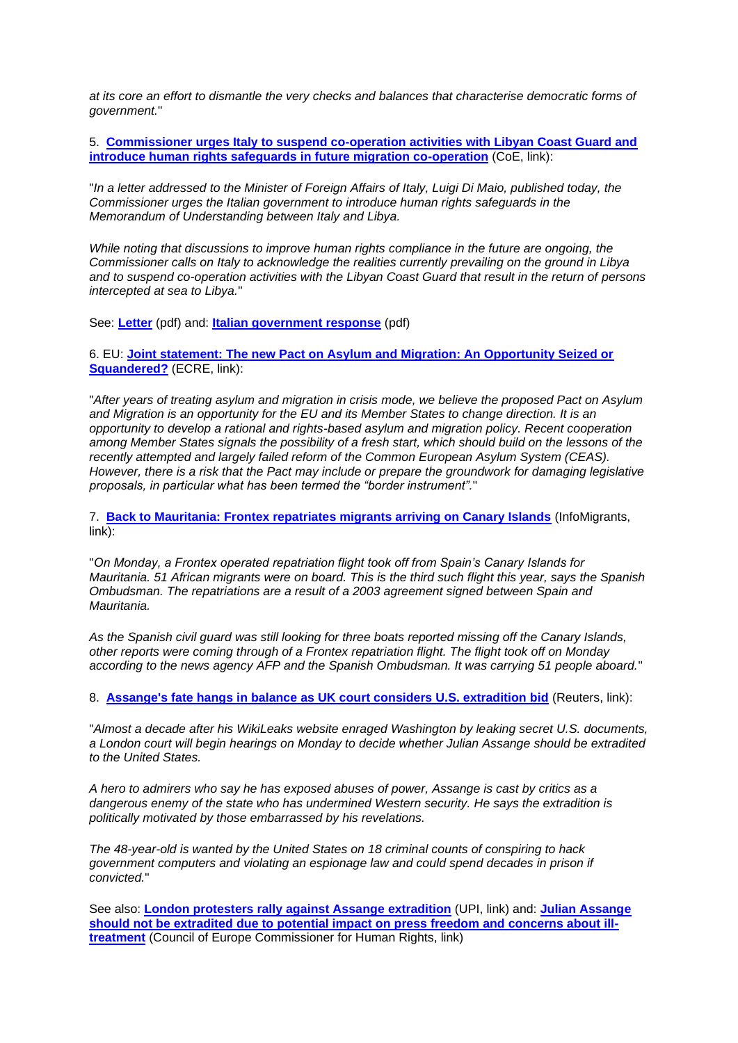*at its core an effort to dismantle the very checks and balances that characterise democratic forms of government.*"

5. **[Commissioner urges Italy to suspend co-operation activities with Libyan Coast Guard and](https://www.coe.int/en/web/commissioner/-/commissioner-urges-italy-to-suspend-co-operation-activities-with-libyan-coast-guard-and-introduce-human-rights-safeguards-in-future-migration-co-opera)  [introduce human rights safeguards in future migration co-operation](https://www.coe.int/en/web/commissioner/-/commissioner-urges-italy-to-suspend-co-operation-activities-with-libyan-coast-guard-and-introduce-human-rights-safeguards-in-future-migration-co-opera)** (CoE, link):

"*In a letter addressed to the Minister of Foreign Affairs of Italy, Luigi Di Maio, published today, the Commissioner urges the Italian government to introduce human rights safeguards in the Memorandum of Understanding between Italy and Libya.*

*While noting that discussions to improve human rights compliance in the future are ongoing, the Commissioner calls on Italy to acknowledge the realities currently prevailing on the ground in Libya and to suspend co-operation activities with the Libyan Coast Guard that result in the return of persons intercepted at sea to Libya.*"

See: **[Letter](http://www.statewatch.org/news/2020/feb/coe-letter-italy-libya-migration-human-rights-13-2-20.pdf)** (pdf) and: **[Italian government response](http://www.statewatch.org/news/2020/feb/coe-letter-italy-libya-migration-human-rights-gov-response-20-2-20.pdf)** (pdf)

6. EU: **[Joint statement: The new Pact on Asylum and Migration: An Opportunity Seized or](https://www.ecre.org/joint-statement-the-new-pact-on-asylum-and-migration-an-opportunity-seized-or-squandered/)  [Squandered?](https://www.ecre.org/joint-statement-the-new-pact-on-asylum-and-migration-an-opportunity-seized-or-squandered/)** (ECRE, link):

"*After years of treating asylum and migration in crisis mode, we believe the proposed Pact on Asylum and Migration is an opportunity for the EU and its Member States to change direction. It is an opportunity to develop a rational and rights-based asylum and migration policy. Recent cooperation among Member States signals the possibility of a fresh start, which should build on the lessons of the recently attempted and largely failed reform of the Common European Asylum System (CEAS). However, there is a risk that the Pact may include or prepare the groundwork for damaging legislative proposals, in particular what has been termed the "border instrument".*"

7. **[Back to Mauritania: Frontex repatriates migrants arriving on Canary Islands](https://www.infomigrants.net/en/post/22908/back-to-mauritania-frontex-repatriates-migrants-arriving-on-canary-islands)** (InfoMigrants, link):

"*On Monday, a Frontex operated repatriation flight took off from Spain's Canary Islands for Mauritania. 51 African migrants were on board. This is the third such flight this year, says the Spanish Ombudsman. The repatriations are a result of a 2003 agreement signed between Spain and Mauritania.*

*As the Spanish civil guard was still looking for three boats reported missing off the Canary Islands, other reports were coming through of a Frontex repatriation flight. The flight took off on Monday according to the news agency AFP and the Spanish Ombudsman. It was carrying 51 people aboard.*"

8. **[Assange's fate hangs in balance as UK court considers U.S. extradition bid](https://www.reuters.com/article/us-britain-assange/assanges-fate-hangs-in-balance-as-uk-court-considers-us-extradition-bid-idUSKBN20F0UZ)** (Reuters, link):

"*Almost a decade after his WikiLeaks website enraged Washington by leaking secret U.S. documents, a London court will begin hearings on Monday to decide whether Julian Assange should be extradited to the United States.*

*A hero to admirers who say he has exposed abuses of power, Assange is cast by critics as a dangerous enemy of the state who has undermined Western security. He says the extradition is politically motivated by those embarrassed by his revelations.*

*The 48-year-old is wanted by the United States on 18 criminal counts of conspiring to hack government computers and violating an espionage law and could spend decades in prison if convicted.*"

See also: **[London protesters rally against Assange extradition](https://www.upi.com/Top_News/World-News/2020/02/22/London-protesters-rally-against-Assange-extradition/6741582402766/)** (UPI, link) and: **[Julian Assange](https://www.coe.int/en/web/commissioner/-/julian-assange-should-not-be-extradited-due-to-potential-impact-on-press-freedom-and-concerns-about-ill-treatment)  [should not be extradited due to potential impact on press freedom and concerns about ill](https://www.coe.int/en/web/commissioner/-/julian-assange-should-not-be-extradited-due-to-potential-impact-on-press-freedom-and-concerns-about-ill-treatment)[treatment](https://www.coe.int/en/web/commissioner/-/julian-assange-should-not-be-extradited-due-to-potential-impact-on-press-freedom-and-concerns-about-ill-treatment)** (Council of Europe Commissioner for Human Rights, link)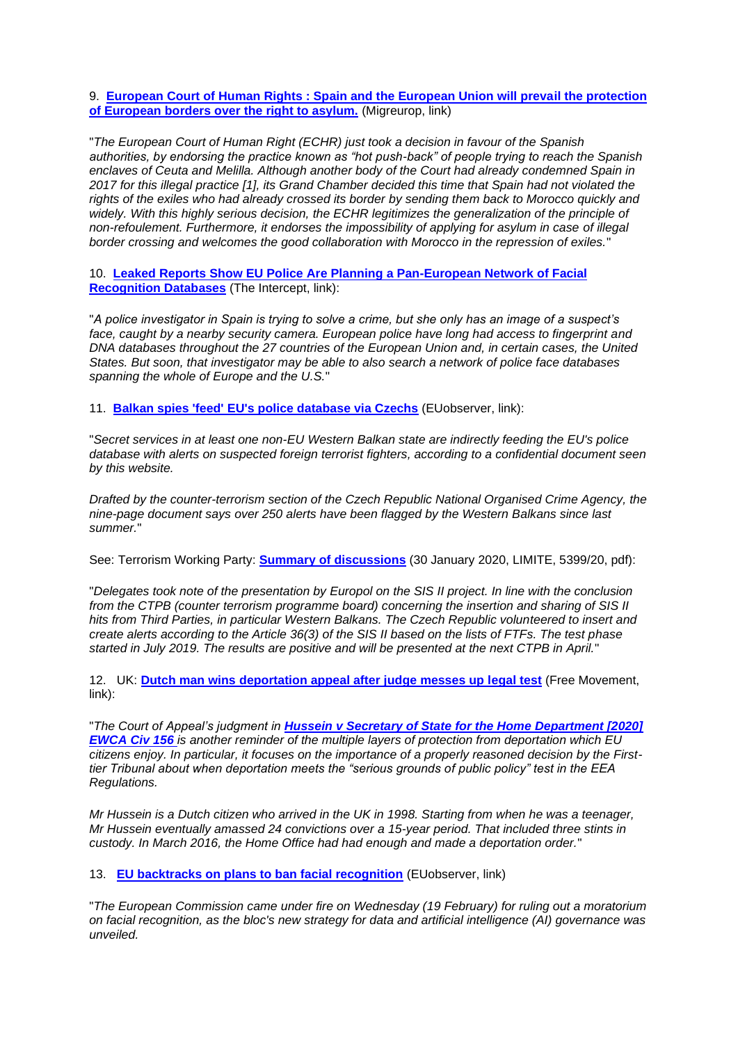9. **[European Court of Human Rights : Spain and the European Union will prevail the protection](http://www.migreurop.org/article2954?lang=fr)  [of European borders over the right to asylum.](http://www.migreurop.org/article2954?lang=fr)** (Migreurop, link)

"*The European Court of Human Right (ECHR) just took a decision in favour of the Spanish authorities, by endorsing the practice known as "hot push-back" of people trying to reach the Spanish enclaves of Ceuta and Melilla. Although another body of the Court had already condemned Spain in 2017 for this illegal practice [1], its Grand Chamber decided this time that Spain had not violated the rights of the exiles who had already crossed its border by sending them back to Morocco quickly and widely. With this highly serious decision, the ECHR legitimizes the generalization of the principle of non-refoulement. Furthermore, it endorses the impossibility of applying for asylum in case of illegal border crossing and welcomes the good collaboration with Morocco in the repression of exiles.*"

10. **[Leaked Reports Show EU Police Are Planning a Pan-European Network](https://theintercept.com/2020/02/21/eu-facial-recognition-database/) of Facial [Recognition Databases](https://theintercept.com/2020/02/21/eu-facial-recognition-database/)** (The Intercept, link):

"*A police investigator in Spain is trying to solve a crime, but she only has an image of a suspect's*  face, caught by a nearby security camera. European police have long had access to fingerprint and *DNA databases throughout the 27 countries of the European Union and, in certain cases, the United States. But soon, that investigator may be able to also search a network of police face databases spanning the whole of Europe and the U.S.*"

11. **[Balkan spies 'feed' EU's police database via Czechs](https://euobserver.com/justice/147420)** (EUobserver, link):

"*Secret services in at least one non-EU Western Balkan state are indirectly feeding the EU's police database with alerts on suspected foreign terrorist fighters, according to a confidential document seen by this website.*

*Drafted by the counter-terrorism section of the Czech Republic National Organised Crime Agency, the nine-page document says over 250 alerts have been flagged by the Western Balkans since last summer.*"

See: Terrorism Working Party: **[Summary of discussions](http://www.statewatch.org/news/2020/feb/eu-council-twp-foreign-fighters-czechs-sis-5399-20.pdf)** (30 January 2020, LIMITE, 5399/20, pdf):

"*Delegates took note of the presentation by Europol on the SIS II project. In line with the conclusion from the CTPB (counter terrorism programme board) concerning the insertion and sharing of SIS II hits from Third Parties, in particular Western Balkans. The Czech Republic volunteered to insert and create alerts according to the Article 36(3) of the SIS II based on the lists of FTFs. The test phase started in July 2019. The results are positive and will be presented at the next CTPB in April.*"

12. UK: **[Dutch man wins deportation appeal after judge messes up legal test](https://www.freemovement.org.uk/dutch-man-wins-deportation-appeal-after-judge-messes-up-legal-test/?utm_source=rss&utm_medium=rss&utm_campaign=dutch-man-wins-deportation-appeal-after-judge-messes-up-legal-test)** (Free Movement, link):

"*The Court of Appeal's judgment in [Hussein v Secretary of State for the Home Department \[2020\]](http://www.statewatch.org/news/2020/feb/uk-hussein-v-home-office-deportation-eu-citizens-13-2-20.pdf)  [EWCA Civ 156](http://www.statewatch.org/news/2020/feb/uk-hussein-v-home-office-deportation-eu-citizens-13-2-20.pdf) is another reminder of the multiple layers of protection from deportation which EU citizens enjoy. In particular, it focuses on the importance of a properly reasoned decision by the Firsttier Tribunal about when deportation meets the "serious grounds of public policy" test in the EEA Regulations.*

*Mr Hussein is a Dutch citizen who arrived in the UK in 1998. Starting from when he was a teenager, Mr Hussein eventually amassed 24 convictions over a 15-year period. That included three stints in custody. In March 2016, the Home Office had had enough and made a deportation order.*"

13. **[EU backtracks on plans to ban facial recognition](https://euobserver.com/science/147500)** (EUobserver, link)

"*The European Commission came under fire on Wednesday (19 February) for ruling out a moratorium on facial recognition, as the bloc's new strategy for data and artificial intelligence (AI) governance was unveiled.*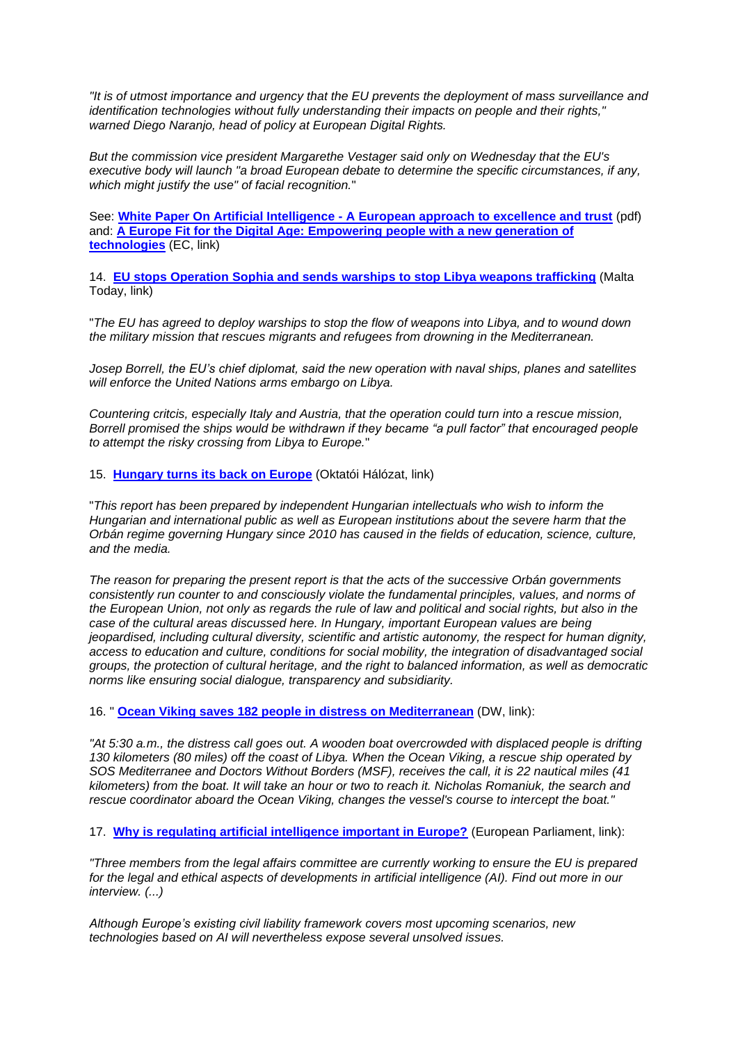*"It is of utmost importance and urgency that the EU prevents the deployment of mass surveillance and identification technologies without fully understanding their impacts on people and their rights," warned Diego Naranjo, head of policy at European Digital Rights.*

*But the commission vice president Margarethe Vestager said only on Wednesday that the EU's executive body will launch "a broad European debate to determine the specific circumstances, if any, which might justify the use" of facial recognition.*"

See: **White Paper On Artificial Intelligence - [A European approach to excellence and trust](https://ec.europa.eu/info/sites/info/files/commission-white-paper-artificial-intelligence-feb2020_en.pdf)** (pdf) and: **[A Europe Fit for the Digital Age: Empowering people with a new generation of](https://ec.europa.eu/info/strategy/priorities-2019-2024/europe-fit-digital-age_en)  [technologies](https://ec.europa.eu/info/strategy/priorities-2019-2024/europe-fit-digital-age_en)** (EC, link)

14. **[EU stops Operation Sophia and sends warships](https://www.maltatoday.com.mt/news/europe/100438/eu_stops_operation_sophia_and_sends_warships_to_stop_libya_weapons_trafficking) to stop Libya weapons trafficking** (Malta Today, link)

"*The EU has agreed to deploy warships to stop the flow of weapons into Libya, and to wound down the military mission that rescues migrants and refugees from drowning in the Mediterranean.*

*Josep Borrell, the EU's chief diplomat, said the new operation with naval ships, planes and satellites will enforce the United Nations arms embargo on Libya.*

*Countering critcis, especially Italy and Austria, that the operation could turn into a rescue mission, Borrell promised the ships would be withdrawn if they became "a pull factor" that encouraged people to attempt the risky crossing from Libya to Europe.*"

#### 15. **[Hungary turns its back on Europe](http://oktatoihalozat.hu/hungary-turns-its-back-on-europe/)** (Oktatói Hálózat, link)

"*This report has been prepared by independent Hungarian intellectuals who wish to inform the Hungarian and international public as well as European institutions about the severe harm that the Orbán regime governing Hungary since 2010 has caused in the fields of education, science, culture, and the media.*

*The reason for preparing the present report is that the acts of the successive Orbán governments consistently run counter to and consciously violate the fundamental principles, values, and norms of the European Union, not only as regards the rule of law and political and social rights, but also in the case of the cultural areas discussed here. In Hungary, important European values are being jeopardised, including cultural diversity, scientific and artistic autonomy, the respect for human dignity, access to education and culture, conditions for social mobility, the integration of disadvantaged social groups, the protection of cultural heritage, and the right to balanced information, as well as democratic norms like ensuring social dialogue, transparency and subsidiarity.*

16. " **[Ocean Viking saves 182 people in distress](https://www.dw.com/en/ocean-viking-saves-182-people-in-distress-on-mediterranean/a-52433780) on Mediterranean** (DW, link):

*"At 5:30 a.m., the distress call goes out. A wooden boat overcrowded with displaced people is drifting 130 kilometers (80 miles) off the coast of Libya. When the Ocean Viking, a rescue ship operated by SOS Mediterranee and Doctors Without Borders (MSF), receives the call, it is 22 nautical miles (41 kilometers) from the boat. It will take an hour or two to reach it. Nicholas Romaniuk, the search and rescue coordinator aboard the Ocean Viking, changes the vessel's course to intercept the boat."*

17. **[Why is regulating artificial intelligence important in Europe?](https://www.europarl.europa.eu/news/en/headlines/society/20200213STO72575/why-is-regulating-artificial-intelligence-important-in-europe)** (European Parliament, link):

*"Three members from the legal affairs committee are currently working to ensure the EU is prepared*  for the legal and ethical aspects of developments in artificial intelligence (AI). Find out more in our *interview. (...)*

*Although Europe's existing civil liability framework covers most upcoming scenarios, new technologies based on AI will nevertheless expose several unsolved issues.*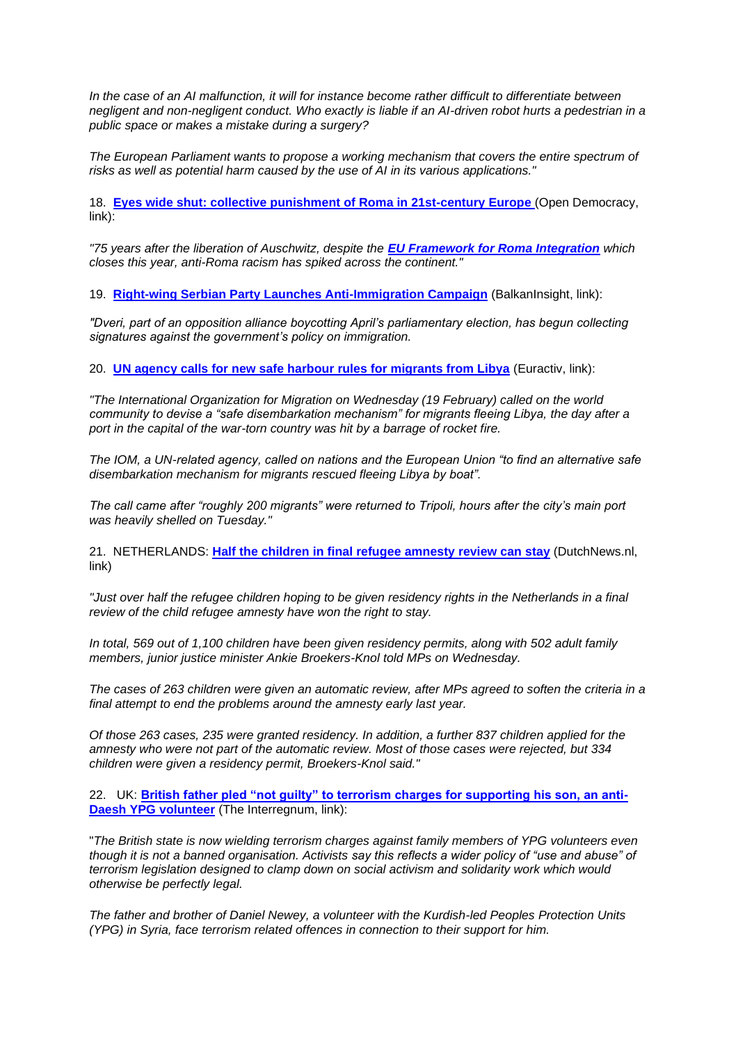*In the case of an AI malfunction, it will for instance become rather difficult to differentiate between negligent and non-negligent conduct. Who exactly is liable if an AI-driven robot hurts a pedestrian in a public space or makes a mistake during a surgery?*

*The European Parliament wants to propose a working mechanism that covers the entire spectrum of risks as well as potential harm caused by the use of AI in its various applications."*

18. **[Eyes wide shut: collective punishment of Roma in 21st-century Europe](https://www.opendemocracy.net/en/can-europe-make-it/eyes-wide-shut-collective-punishment-roma-twenty-first-century-europe/?fbclid=IwAR2LBmozx2ybc6sigV_Eylht4dSHhiibcHgcW-yOaWgZLuSH54GRIrNtOhw)** (Open Democracy, link):

*"75 years after the liberation of Auschwitz, despite the [EU Framework for Roma Integration](https://ec.europa.eu/info/policies/justice-and-fundamental-rights/combatting-discrimination/roma-and-eu/roma-integration-eu_en) which closes this year, anti-Roma racism has spiked across the continent."*

19. **[Right-wing Serbian Party Launches Anti-Immigration Campaign](https://balkaninsight.com/2020/02/18/right-wing-serbian-party-launches-anti-immigration-campaign/)** (BalkanInsight, link):

*"Dveri, part of an opposition alliance boycotting April's parliamentary election, has begun collecting signatures against the government's policy on immigration.*

20. **[UN agency calls for new safe harbour rules for migrants from Libya](https://www.euractiv.com/section/justice-home-affairs/news/un-agency-calls-for-new-safe-harbour-rules-for-migrants-from-libya/)** (Euractiv, link):

*"The International Organization for Migration on Wednesday (19 February) called on the world community to devise a "safe disembarkation mechanism" for migrants fleeing Libya, the day after a port in the capital of the war-torn country was hit by a barrage of rocket fire.*

*The IOM, a UN-related agency, called on nations and the European Union "to find an alternative safe disembarkation mechanism for migrants rescued fleeing Libya by boat".*

*The call came after "roughly 200 migrants" were returned to Tripoli, hours after the city's main port was heavily shelled on Tuesday."*

21. NETHERLANDS: **[Half the children in final refugee](https://www.dutchnews.nl/news/2020/02/half-the-children-in-final-refugee-amnesty-review-can-stay/) amnesty review can stay** (DutchNews.nl, link)

*"Just over half the refugee children hoping to be given residency rights in the Netherlands in a final review of the child refugee amnesty have won the right to stay.*

*In total, 569 out of 1,100 children have been given residency permits, along with 502 adult family members, junior justice minister Ankie Broekers-Knol told MPs on Wednesday.*

*The cases of 263 children were given an automatic review, after MPs agreed to soften the criteria in a final attempt to end the problems around the amnesty early last year.*

*Of those 263 cases, 235 were granted residency. In addition, a further 837 children applied for the amnesty who were not part of the automatic review. Most of those cases were rejected, but 334 children were given a residency permit, Broekers-Knol said."*

22. UK: **[British father pled "not guilty" to terrorism charges for supporting his son, an anti-](https://theinterregnum.net/british-father-and-son-plead-not-guilty-to-terrorism-charges-relating-support-for-anti-daesh-ypg-family-member/)[Daesh YPG volunteer](https://theinterregnum.net/british-father-and-son-plead-not-guilty-to-terrorism-charges-relating-support-for-anti-daesh-ypg-family-member/)** (The Interregnum, link):

"*The British state is now wielding terrorism charges against family members of YPG volunteers even though it is not a banned organisation. Activists say this reflects a wider policy of "use and abuse" of terrorism legislation designed to clamp down on social activism and solidarity work which would otherwise be perfectly legal.*

*The father and brother of Daniel Newey, a volunteer with the Kurdish-led Peoples Protection Units (YPG) in Syria, face terrorism related offences in connection to their support for him.*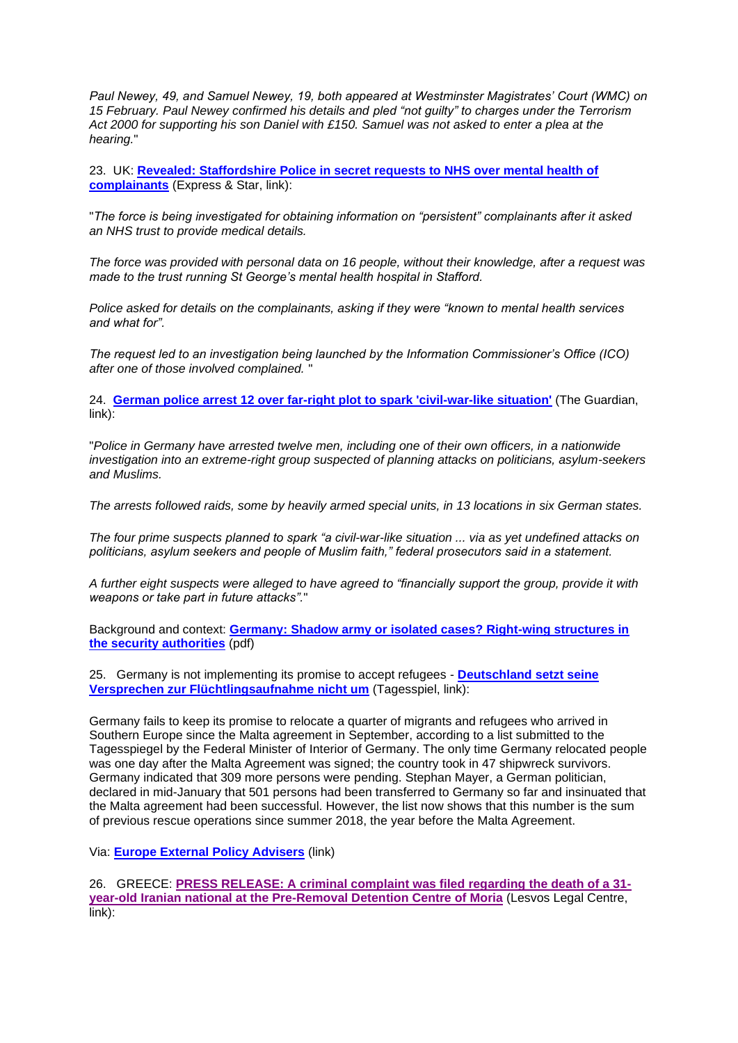*Paul Newey, 49, and Samuel Newey, 19, both appeared at Westminster Magistrates' Court (WMC) on 15 February. Paul Newey confirmed his details and pled "not guilty" to charges under the Terrorism Act 2000 for supporting his son Daniel with £150. Samuel was not asked to enter a plea at the hearing.*"

23. UK: **[Revealed: Staffordshire Police in secret requests to NHS over mental health of](https://www.expressandstar.com/news/local-hubs/staffordshire/2020/01/14/staffordshire-police-acted-inappropriately-by-asking-nhs-for-persistent-callers-mental-health-data/)  [complainants](https://www.expressandstar.com/news/local-hubs/staffordshire/2020/01/14/staffordshire-police-acted-inappropriately-by-asking-nhs-for-persistent-callers-mental-health-data/)** (Express & Star, link):

"*The force is being investigated for obtaining information on "persistent" complainants after it asked an NHS trust to provide medical details.*

*The force was provided with personal data on 16 people, without their knowledge, after a request was made to the trust running St George's mental health hospital in Stafford.*

*Police asked for details on the complainants, asking if they were "known to mental health services and what for".*

*The request led to an investigation being launched by the Information Commissioner's Office (ICO) after one of those involved complained.* "

24. **[German police arrest 12 over far-right plot to spark 'civil-war-like situation'](https://www.theguardian.com/world/2020/feb/14/german-police-arrest-12-men-on-far-right-terrorism-charges)** (The Guardian, link):

"*Police in Germany have arrested twelve men, including one of their own officers, in a nationwide investigation into an extreme-right group suspected of planning attacks on politicians, asylum-seekers and Muslims.*

*The arrests followed raids, some by heavily armed special units, in 13 locations in six German states.*

*The four prime suspects planned to spark "a civil-war-like situation ... via as yet undefined attacks on politicians, asylum seekers and people of Muslim faith," federal prosecutors said in a statement.*

*A further eight suspects were alleged to have agreed to "financially support the group, provide it with weapons or take part in future attacks".*"

Background and context: **[Germany: Shadow army or isolated cases? Right-wing structures in](http://www.statewatch.org/analyses/no-349-germany-right-wing-structures.pdf)  [the security authorities](http://www.statewatch.org/analyses/no-349-germany-right-wing-structures.pdf)** (pdf)

25. Germany is not implementing its promise to accept refugees - **[Deutschland setzt seine](https://www.tagesspiegel.de/politik/ein-halbes-jahr-nach-malta-deutschland-setzt-seine-versprechen-zur-fluechtlingsaufnahme-nicht-um/25519306.html)  [Versprechen zur Flüchtlingsaufnahme nicht um](https://www.tagesspiegel.de/politik/ein-halbes-jahr-nach-malta-deutschland-setzt-seine-versprechen-zur-fluechtlingsaufnahme-nicht-um/25519306.html)** (Tagesspiel, link):

Germany fails to keep its promise to relocate a quarter of migrants and refugees who arrived in Southern Europe since the Malta agreement in September, according to a list submitted to the Tagesspiegel by the Federal Minister of Interior of Germany. The only time Germany relocated people was one day after the Malta Agreement was signed; the country took in 47 shipwreck survivors. Germany indicated that 309 more persons were pending. Stephan Mayer, a German politician, declared in mid-January that 501 persons had been transferred to Germany so far and insinuated that the Malta agreement had been successful. However, the list now shows that this number is the sum of previous rescue operations since summer 2018, the year before the Malta Agreement.

Via: **[Europe External Policy Advisers](https://www.eepa.be/)** (link)

26. GREECE: **PRESS RELEASE: A [criminal complaint was filed regarding the death of a 31](http://legalcentrelesvos.org/2020/02/07/press-release-a-criminal-complaint-filed-regarding-the-death-of-a-31-year-old-iranian-national-at-the-pre-removal-detention-centre-of-moria/) [year-old Iranian national at the Pre-Removal Detention Centre of Moria](http://legalcentrelesvos.org/2020/02/07/press-release-a-criminal-complaint-filed-regarding-the-death-of-a-31-year-old-iranian-national-at-the-pre-removal-detention-centre-of-moria/)** (Lesvos Legal Centre, link):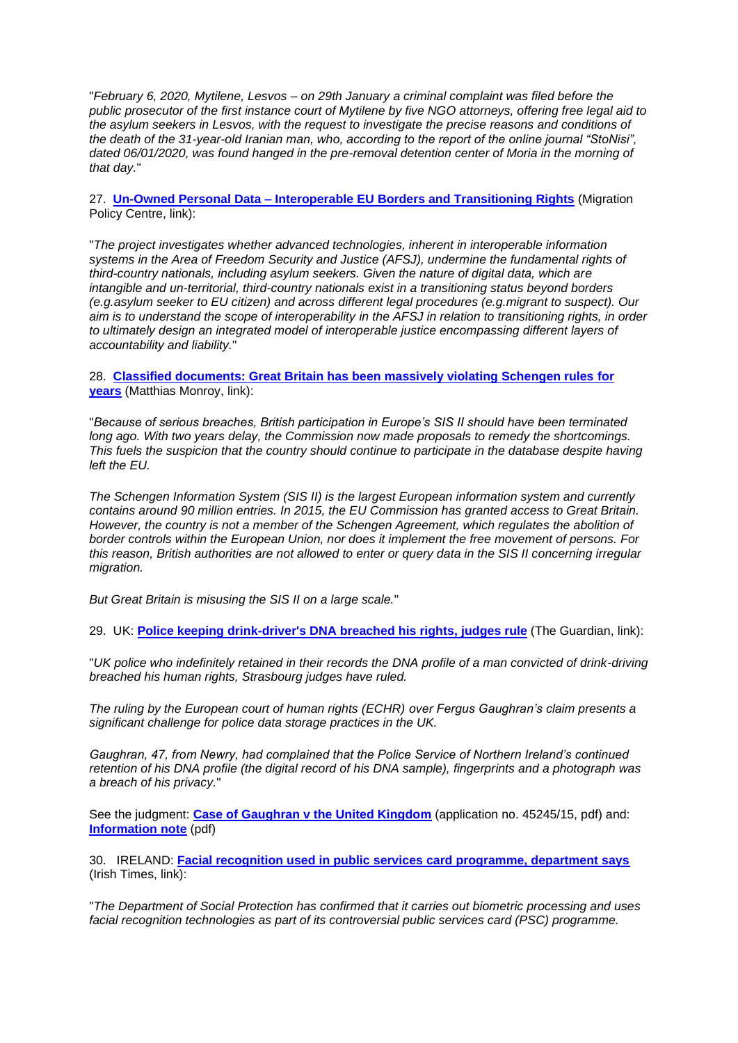"*February 6, 2020, Mytilene, Lesvos – on 29th January a criminal complaint was filed before the public prosecutor of the first instance court of Mytilene by five NGO attorneys, offering free legal aid to the asylum seekers in Lesvos, with the request to investigate the precise reasons and conditions of the death of the 31-year-old Iranian man, who, according to the report of the online journal "StoNisi", dated 06/01/2020, was found hanged in the pre-removal detention center of Moria in the morning of that day.*"

27. **Un-Owned Personal Data – [Interoperable EU Borders and Transitioning Rights](http://www.migrationpolicycentre.eu/projects/un-owned-personal-data/)** (Migration Policy Centre, link):

"*The project investigates whether advanced technologies, inherent in interoperable information systems in the Area of Freedom Security and Justice (AFSJ), undermine the fundamental rights of third-country nationals, including asylum seekers. Given the nature of digital data, which are intangible and un-territorial, third-country nationals exist in a transitioning status beyond borders (e.g.asylum seeker to EU citizen) and across different legal procedures (e.g.migrant to suspect). Our aim is to understand the scope of interoperability in the AFSJ in relation to transitioning rights, in order*  to ultimately design an integrated model of interoperable justice encompassing different layers of *accountability and liability.*"

28. **[Classified documents: Great Britain has been massively violating Schengen rules](https://digit.site36.net/2020/02/08/classified-documents-great-britain-has-been-massively-violating-schengen-rules-for-years/) for [years](https://digit.site36.net/2020/02/08/classified-documents-great-britain-has-been-massively-violating-schengen-rules-for-years/)** (Matthias Monroy, link):

"*Because of serious breaches, British participation in Europe's SIS II should have been terminated long ago. With two years delay, the Commission now made proposals to remedy the shortcomings. This fuels the suspicion that the country should continue to participate in the database despite having left the EU.*

*The Schengen Information System (SIS II) is the largest European information system and currently contains around 90 million entries. In 2015, the EU Commission has granted access to Great Britain. However, the country is not a member of the Schengen Agreement, which regulates the abolition of border controls within the European Union, nor does it implement the free movement of persons. For this reason, British authorities are not allowed to enter or query data in the SIS II concerning irregular migration.*

*But Great Britain is misusing the SIS II on a large scale.*"

29. UK: **[Police keeping drink-driver's DNA breached his rights, judges rule](https://www.theguardian.com/uk-news/2020/feb/13/police-keeping-drink-drivers-dna-breached-his-rights-judges-rule)** (The Guardian, link):

"*UK police who indefinitely retained in their records the DNA profile of a man convicted of drink-driving breached his human rights, Strasbourg judges have ruled.*

*The ruling by the European court of human rights (ECHR) over Fergus Gaughran's claim presents a significant challenge for police data storage practices in the UK.*

*Gaughran, 47, from Newry, had complained that the Police Service of Northern Ireland's continued retention of his DNA profile (the digital record of his DNA sample), fingerprints and a photograph was a breach of his privacy.*"

See the judgment: **[Case of Gaughran v the United Kingdom](http://www.statewatch.org/news/2020/feb/echr-uk-gaughran-v-uk-dna-retention-limitations-judgment-13-2-20.pdf)** (application no. 45245/15, pdf) and: **[Information note](http://www.statewatch.org/news/2020/feb/echr-uk-gaughran-v-uk-dna-retention-limitations-summary-13-2-20.pdf)** (pdf)

30. IRELAND: **[Facial recognition used in public services card programme, department says](https://www.irishtimes.com/news/ireland/irish-news/facial-recognition-used-in-public-services-card-programme-department-says-1.4170870)** (Irish Times, link):

"*The Department of Social Protection has confirmed that it carries out biometric processing and uses facial recognition technologies as part of its controversial public services card (PSC) programme.*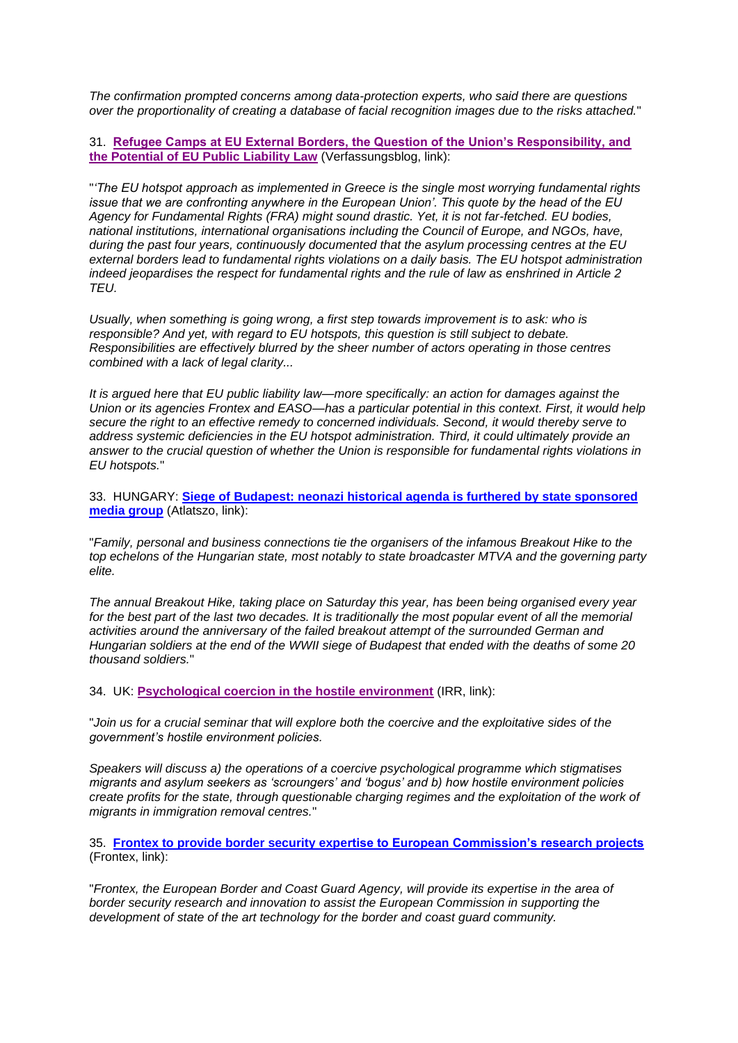*The confirmation prompted concerns among data-protection experts, who said there are questions over the proportionality of creating a database of facial recognition images due to the risks attached.*"

31. **[Refugee Camps at EU External Borders, the Question of the Union's Responsibility, and](https://verfassungsblog.de/refugee-camps-at-eu-external-borders-the-question-of-the-unions-responsibility-and-the-potential-of-eu-public-liability-law/)  [the Potential of EU Public Liability Law](https://verfassungsblog.de/refugee-camps-at-eu-external-borders-the-question-of-the-unions-responsibility-and-the-potential-of-eu-public-liability-law/)** (Verfassungsblog, link):

"*'The EU hotspot approach as implemented in Greece is the single most worrying fundamental rights issue that we are confronting anywhere in the European Union'. This quote by the head of the EU Agency for Fundamental Rights (FRA) might sound drastic. Yet, it is not far-fetched. EU bodies, national institutions, international organisations including the Council of Europe, and NGOs, have, during the past four years, continuously documented that the asylum processing centres at the EU external borders lead to fundamental rights violations on a daily basis. The EU hotspot administration indeed jeopardises the respect for fundamental rights and the rule of law as enshrined in Article 2 TEU.*

*Usually, when something is going wrong, a first step towards improvement is to ask: who is responsible? And yet, with regard to EU hotspots, this question is still subject to debate. Responsibilities are effectively blurred by the sheer number of actors operating in those centres combined with a lack of legal clarity...*

*It is argued here that EU public liability law—more specifically: an action for damages against the Union or its agencies Frontex and EASO—has a particular potential in this context. First, it would help secure the right to an effective remedy to concerned individuals. Second, it would thereby serve to address systemic deficiencies in the EU hotspot administration. Third, it could ultimately provide an answer to the crucial question of whether the Union is responsible for fundamental rights violations in EU hotspots.*"

33. HUNGARY: **[Siege of Budapest: neonazi historical agenda is furthered by state sponsored](https://english.atlatszo.hu/2020/02/07/siege-of-budapest-neonazi-historical-agenda-is-furthered-by-state-sponsored-media-group/)  [media group](https://english.atlatszo.hu/2020/02/07/siege-of-budapest-neonazi-historical-agenda-is-furthered-by-state-sponsored-media-group/)** (Atlatszo, link):

"*Family, personal and business connections tie the organisers of the infamous Breakout Hike to the top echelons of the Hungarian state, most notably to state broadcaster MTVA and the governing party elite.*

*The annual Breakout Hike, taking place on Saturday this year, has been being organised every year for the best part of the last two decades. It is traditionally the most popular event of all the memorial activities around the anniversary of the failed breakout attempt of the surrounded German and Hungarian soldiers at the end of the WWII siege of Budapest that ended with the deaths of some 20 thousand soldiers.*"

34. UK: **[Psychological coercion in the hostile environment](http://www.irr.org.uk/events/psychological-coercion-in-the-hostile-environment/)** (IRR, link):

"*Join us for a crucial seminar that will explore both the coercive and the exploitative sides of the government's hostile environment policies.*

*Speakers will discuss a) the operations of a coercive psychological programme which stigmatises migrants and asylum seekers as 'scroungers' and 'bogus' and b) how hostile environment policies create profits for the state, through questionable charging regimes and the exploitation of the work of migrants in immigration removal centres.*"

```
35. Frontex to provide border security expertise to European Commission's research projects
(Frontex, link):
```
"*Frontex, the European Border and Coast Guard Agency, will provide its expertise in the area of border security research and innovation to assist the European Commission in supporting the development of state of the art technology for the border and coast guard community.*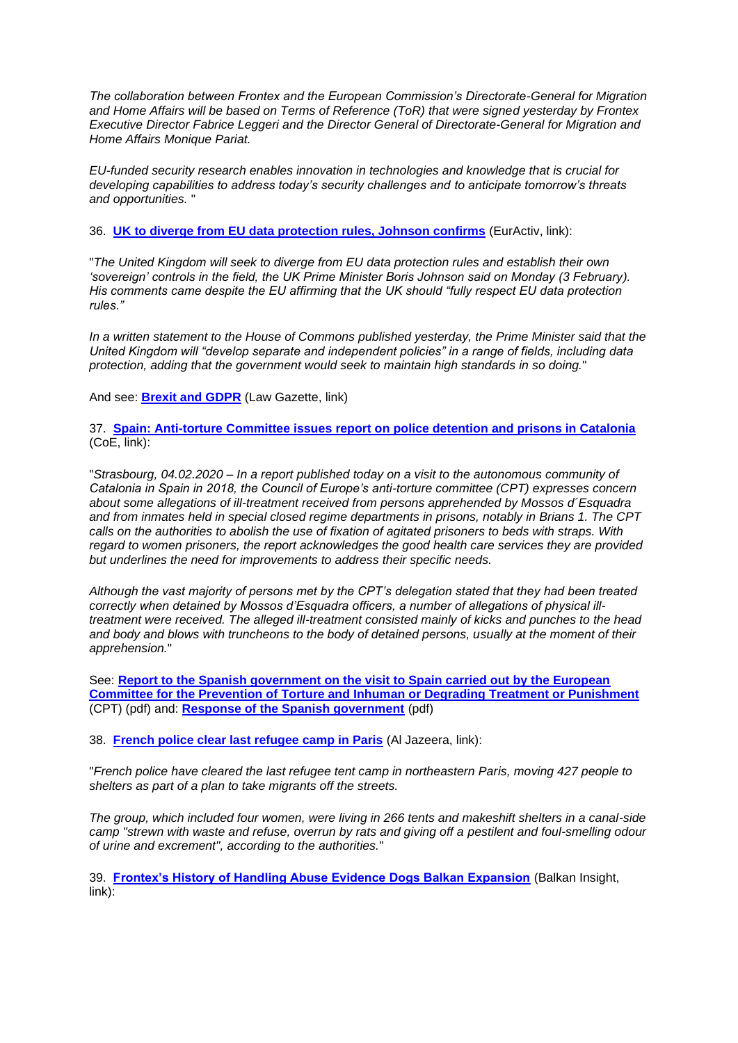*The collaboration between Frontex and the European Commission's Directorate-General for Migration and Home Affairs will be based on Terms of Reference (ToR) that were signed yesterday by Frontex Executive Director Fabrice Leggeri and the Director General of Directorate-General for Migration and Home Affairs Monique Pariat.*

*EU-funded security research enables innovation in technologies and knowledge that is crucial for developing capabilities to address today's security challenges and to anticipate tomorrow's threats and opportunities.* "

36. **[UK to diverge from EU data protection rules, Johnson confirms](https://www.euractiv.com/section/digital/news/uk-to-diverge-from-eu-data-protection-rules-johnson-confirms/)** (EurActiv, link):

"*The United Kingdom will seek to diverge from EU data protection rules and establish their own*  'sovereign' controls in the field, the UK Prime Minister Boris Johnson said on Monday (3 February). *His comments came despite the EU affirming that the UK should "fully respect EU data protection rules."*

*In a written statement to the House of Commons published yesterday, the Prime Minister said that the United Kingdom will "develop separate and independent policies" in a range of fields, including data protection, adding that the government would seek to maintain high standards in so doing.*"

And see: **[Brexit and GDPR](https://www.lawgazette.co.uk/legal-updates/brexit-and-gdpr/5103006.article)** (Law Gazette, link)

37. **[Spain: Anti-torture Committee issues report on police detention and prisons in Catalonia](https://search.coe.int/directorate_of_communications/Pages/result_details.aspx?ObjectId=09000016809a46b9)** (CoE, link):

"*Strasbourg, 04.02.2020 – In a report published today on a visit to the autonomous community of Catalonia in Spain in 2018, the Council of Europe's anti-torture committee (CPT) expresses concern about some allegations of ill-treatment received from persons apprehended by Mossos d´Esquadra and from inmates held in special closed regime departments in prisons, notably in Brians 1. The CPT calls on the authorities to abolish the use of fixation of agitated prisoners to beds with straps. With regard to women prisoners, the report acknowledges the good health care services they are provided but underlines the need for improvements to address their specific needs.*

*Although the vast majority of persons met by the CPT's delegation stated that they had been treated correctly when detained by Mossos d'Esquadra officers, a number of allegations of physical illtreatment were received. The alleged ill-treatment consisted mainly of kicks and punches to the head and body and blows with truncheons to the body of detained persons, usually at the moment of their apprehension.*"

See: **[Report to the Spanish government on the visit to Spain carried out by the European](http://www.statewatch.org/news/2020/feb/coe-es-report-spain-prisons-2-20.pdf)  Committee for the Prevention of [Torture and Inhuman or Degrading Treatment or Punishment](http://www.statewatch.org/news/2020/feb/coe-es-report-spain-prisons-2-20.pdf)** (CPT) (pdf) and: **[Response of the Spanish government](http://www.statewatch.org/news/2020/feb/coe-es-report-spain-prisons-govt-response-2-20.pdf)** (pdf)

38. **[French police clear last refugee camp in Paris](https://www.aljazeera.com/news/2020/02/french-police-clear-refugee-camp-paris-200204100418766.html)** (Al Jazeera, link):

"*French police have cleared the last refugee tent camp in northeastern Paris, moving 427 people to shelters as part of a plan to take migrants off the streets.*

*The group, which included four women, were living in 266 tents and makeshift shelters in a canal-side camp "strewn with waste and refuse, overrun by rats and giving off a pestilent and foul-smelling odour of urine and excrement", according to the authorities.*"

39. **[Frontex's History of Handling Abuse Evidence Dogs Balkan Expansion](https://balkaninsight.com/2020/02/06/frontexs-history-of-handling-abuse-evidence-dogs-balkan-expansion/)** (Balkan Insight, link):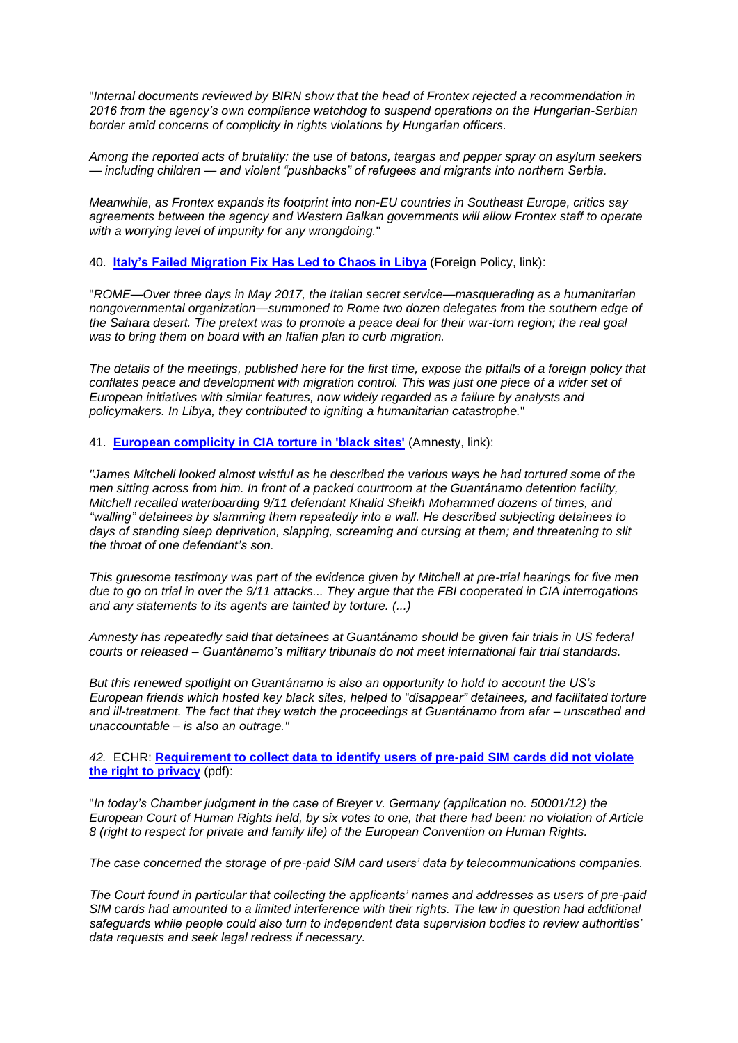"*Internal documents reviewed by BIRN show that the head of Frontex rejected a recommendation in 2016 from the agency's own compliance watchdog to suspend operations on the Hungarian-Serbian border amid concerns of complicity in rights violations by Hungarian officers.*

*Among the reported acts of brutality: the use of batons, teargas and pepper spray on asylum seekers — including children — and violent "pushbacks" of refugees and migrants into northern Serbia.*

*Meanwhile, as Frontex expands its footprint into non-EU countries in Southeast Europe, critics say agreements between the agency and Western Balkan governments will allow Frontex staff to operate with a worrying level of impunity for any wrongdoing.*"

40. **[Italy's Failed Migration Fix Has Led to Chaos in Libya](https://foreignpolicy.com/2020/01/29/italy-failed-migration-fix-capitano-ultimo-gentiloni-mogherini-chaos-libya/)** (Foreign Policy, link):

"*ROME—Over three days in May 2017, the Italian secret service—masquerading as a humanitarian nongovernmental organization—summoned to Rome two dozen delegates from the southern edge of the Sahara desert. The pretext was to promote a peace deal for their war-torn region; the real goal was to bring them on board with an Italian plan to curb migration.*

*The details of the meetings, published here for the first time, expose the pitfalls of a foreign policy that*  conflates peace and development with migration control. This was just one piece of a wider set of *European initiatives with similar features, now widely regarded as a failure by analysts and policymakers. In Libya, they contributed to igniting a humanitarian catastrophe.*"

41. **[European complicity in CIA torture in 'black sites'](https://www.amnesty.org/en/latest/news/2020/02/european-complicity-in-cia-torture-in-black-sites/)** (Amnesty, link):

*"James Mitchell looked almost wistful as he described the various ways he had tortured some of the men sitting across from him. In front of a packed courtroom at the Guantánamo detention facility, Mitchell recalled waterboarding 9/11 defendant Khalid Sheikh Mohammed dozens of times, and "walling" detainees by slamming them repeatedly into a wall. He described subjecting detainees to days of standing sleep deprivation, slapping, screaming and cursing at them; and threatening to slit the throat of one defendant's son.*

*This gruesome testimony was part of the evidence given by Mitchell at pre-trial hearings for five men due to go on trial in over the 9/11 attacks... They argue that the FBI cooperated in CIA interrogations and any statements to its agents are tainted by torture. (...)*

*Amnesty has repeatedly said that detainees at Guantánamo should be given fair trials in US federal courts or released – Guantánamo's military tribunals do not meet international fair trial standards.*

*But this renewed spotlight on Guantánamo is also an opportunity to hold to account the US's European friends which hosted key black sites, helped to "disappear" detainees, and facilitated torture and ill-treatment. The fact that they watch the proceedings at Guantánamo from afar – unscathed and unaccountable – is also an outrage."*

*42.* ECHR: **[Requirement to collect data to identify users of pre-paid SIM cards did not violate](http://www.statewatch.org/news/2020/feb/echr-breyer-v-germany-sim-card-privacy-pr-30-1-20.pdf)  [the right to privacy](http://www.statewatch.org/news/2020/feb/echr-breyer-v-germany-sim-card-privacy-pr-30-1-20.pdf)** (pdf):

"*In today's Chamber judgment in the case of Breyer v. Germany (application no. 50001/12) the European Court of Human Rights held, by six votes to one, that there had been: no violation of Article 8 (right to respect for private and family life) of the European Convention on Human Rights.*

*The case concerned the storage of pre-paid SIM card users' data by telecommunications companies.*

*The Court found in particular that collecting the applicants' names and addresses as users of pre-paid SIM cards had amounted to a limited interference with their rights. The law in question had additional safeguards while people could also turn to independent data supervision bodies to review authorities' data requests and seek legal redress if necessary.*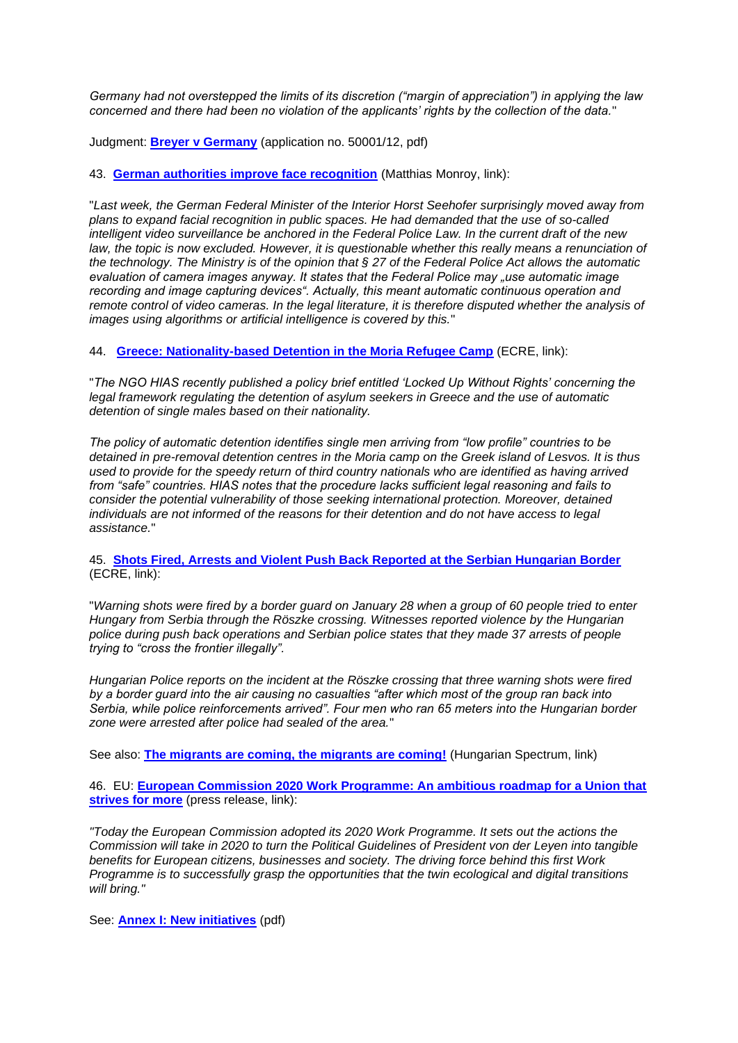*Germany had not overstepped the limits of its discretion ("margin of appreciation") in applying the law concerned and there had been no violation of the applicants' rights by the collection of the data.*"

Judgment: **[Breyer v Germany](http://www.statewatch.org/news/2020/feb/echr-breyer-v-germany-sim-card-privacy-judgment-30-1-20.pdf)** (application no. 50001/12, pdf)

43. **[German authorities improve face recognition](https://digit.site36.net/2020/01/31/german-authorities-improve-face-recognition/)** (Matthias Monroy, link):

"*Last week, the German Federal Minister of the Interior Horst Seehofer surprisingly moved away from plans to expand facial recognition in public spaces. He had demanded that the use of so-called intelligent video surveillance be anchored in the Federal Police Law. In the current draft of the new*  law, the topic is now excluded. However, it is questionable whether this really means a renunciation of *the technology. The Ministry is of the opinion that § 27 of the Federal Police Act allows the automatic evaluation of camera images anyway. It states that the Federal Police may "use automatic image recording and image capturing devices". Actually, this meant automatic continuous operation and remote control of video cameras. In the legal literature, it is therefore disputed whether the analysis of images using algorithms or artificial intelligence is covered by this.*"

44. **[Greece: Nationality-based Detention in the Moria Refugee Camp](https://www.ecre.org/greece-nationality-based-detention-in-the-moria-refugee-camp/)** (ECRE, link):

"*The NGO HIAS recently published a policy brief entitled 'Locked Up Without Rights' concerning the legal framework regulating the detention of asylum seekers in Greece and the use of automatic detention of single males based on their nationality.*

*The policy of automatic detention identifies single men arriving from "low profile" countries to be detained in pre-removal detention centres in the Moria camp on the Greek island of Lesvos. It is thus used to provide for the speedy return of third country nationals who are identified as having arrived from "safe" countries. HIAS notes that the procedure lacks sufficient legal reasoning and fails to consider the potential vulnerability of those seeking international protection. Moreover, detained individuals are not informed of the reasons for their detention and do not have access to legal assistance.*"

#### 45. **[Shots Fired, Arrests and Violent Push Back Reported at the Serbian Hungarian Border](https://www.ecre.org/shots-fired-arrests-and-violent-push-back-reported-at-the-serbian-hungarian-border/)** (ECRE, link):

"*Warning shots were fired by a border guard on January 28 when a group of 60 people tried to enter Hungary from Serbia through the Röszke crossing. Witnesses reported violence by the Hungarian police during push back operations and Serbian police states that they made 37 arrests of people trying to "cross the frontier illegally".*

*Hungarian Police reports on the incident at the Röszke crossing that three warning shots were fired by a border guard into the air causing no casualties "after which most of the group ran back into Serbia, while police reinforcements arrived". Four men who ran 65 meters into the Hungarian border zone were arrested after police had sealed of the area.*"

See also: **[The migrants are coming, the migrants are coming!](http://hungarianspectrum.org/2020/01/29/the-migrants-are-coming-the-migrants-are-coming/)** (Hungarian Spectrum, link)

46. EU: **[European Commission 2020 Work Programme: An ambitious roadmap for a Union that](https://ec.europa.eu/commission/presscorner/detail/en/IP_20_124)  [strives for more](https://ec.europa.eu/commission/presscorner/detail/en/IP_20_124)** (press release, link):

*"Today the European Commission adopted its 2020 Work Programme. It sets out the actions the Commission will take in 2020 to turn the Political Guidelines of President von der Leyen into tangible benefits for European citizens, businesses and society. The driving force behind this first Work Programme is to successfully grasp the opportunities that the twin ecological and digital transitions will bring."*

See: **[Annex I: New initiatives](http://www.statewatch.org/news/2020/feb/eu-com-work-programme-2020-annex-1-new-initiatives.pdf)** (pdf)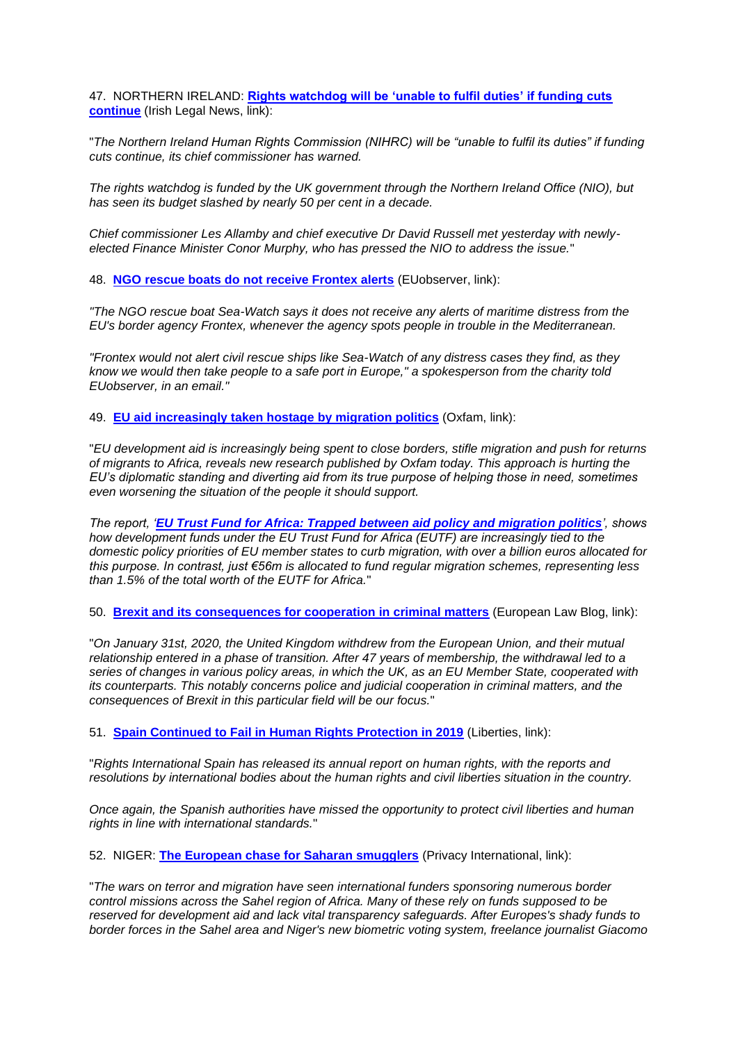47. NORTHERN IRELAND: **[Rights watchdog will be 'unable to fulfil duties' if funding cuts](https://www.irishlegal.com/article/rights-watchdog-will-be-unable-to-fulfil-duties-if-funding-cuts-continue)  [continue](https://www.irishlegal.com/article/rights-watchdog-will-be-unable-to-fulfil-duties-if-funding-cuts-continue)** (Irish Legal News, link):

"*The Northern Ireland Human Rights Commission (NIHRC) will be "unable to fulfil its duties" if funding cuts continue, its chief commissioner has warned.*

*The rights watchdog is funded by the UK government through the Northern Ireland Office (NIO), but has seen its budget slashed by nearly 50 per cent in a decade.*

*Chief commissioner Les Allamby and chief executive Dr David Russell met yesterday with newlyelected Finance Minister Conor Murphy, who has pressed the NIO to address the issue.*"

48. **[NGO rescue boats do not receive Frontex alerts](https://euobserver.com/migration/147331)** (EUobserver, link):

*"The NGO rescue boat Sea-Watch says it does not receive any alerts of maritime distress from the EU's border agency Frontex, whenever the agency spots people in trouble in the Mediterranean.*

*"Frontex would not alert civil rescue ships like Sea-Watch of any distress cases they find, as they know we would then take people to a safe port in Europe," a spokesperson from the charity told EUobserver, in an email."*

49. **[EU aid increasingly taken hostage by migration politics](https://www.oxfam.org/en/press-releases/eu-aid-increasingly-taken-hostage-migration-politics)** (Oxfam, link):

"*EU development aid is increasingly being spent to close borders, stifle migration and push for returns of migrants to Africa, reveals new research published by Oxfam today. This approach is hurting the EU's diplomatic standing and diverting aid from its true purpose of helping those in need, sometimes even worsening the situation of the people it should support.*

*The report, '[EU Trust Fund for Africa: Trapped between aid policy and migration politics](http://policy-practice.oxfam.org.uk/publications/the-eu-trust-fund-for-africa-trapped-between-aid-policy-and-migration-politics-620936)', shows how development funds under the EU Trust Fund for Africa (EUTF) are increasingly tied to the domestic policy priorities of EU member states to curb migration, with over a billion euros allocated for this purpose. In contrast, just €56m is allocated to fund regular migration schemes, representing less than 1.5% of the total worth of the EUTF for Africa.*"

50. **[Brexit and its consequences for cooperation in criminal matters](https://europeanlawblog.eu/2020/02/03/brexit-and-its-consequences-for-cooperation-in-criminal-matters/)** (European Law Blog, link):

"*On January 31st, 2020, the United Kingdom withdrew from the European Union, and their mutual relationship entered in a phase of transition. After 47 years of membership, the withdrawal led to a series of changes in various policy areas, in which the UK, as an EU Member State, cooperated with its counterparts. This notably concerns police and judicial cooperation in criminal matters, and the consequences of Brexit in this particular field will be our focus.*"

51. **[Spain Continued to Fail in Human Rights Protection in 2019](https://www.liberties.eu/en/news/ris-annual-report-human-rights-spain/18530)** (Liberties, link):

"*Rights International Spain has released its annual report on human rights, with the reports and resolutions by international bodies about the human rights and civil liberties situation in the country.*

*Once again, the Spanish authorities have missed the opportunity to protect civil liberties and human rights in line with international standards.*"

52. NIGER: **[The European chase for Saharan smugglers](https://privacyinternational.org/long-read/3347/european-chase-saharan-smugglers)** (Privacy International, link):

"*The wars on terror and migration have seen international funders sponsoring numerous border control missions across the Sahel region of Africa. Many of these rely on funds supposed to be reserved for development aid and lack vital transparency safeguards. After Europes's shady funds to border forces in the Sahel area and Niger's new biometric voting system, freelance journalist Giacomo*